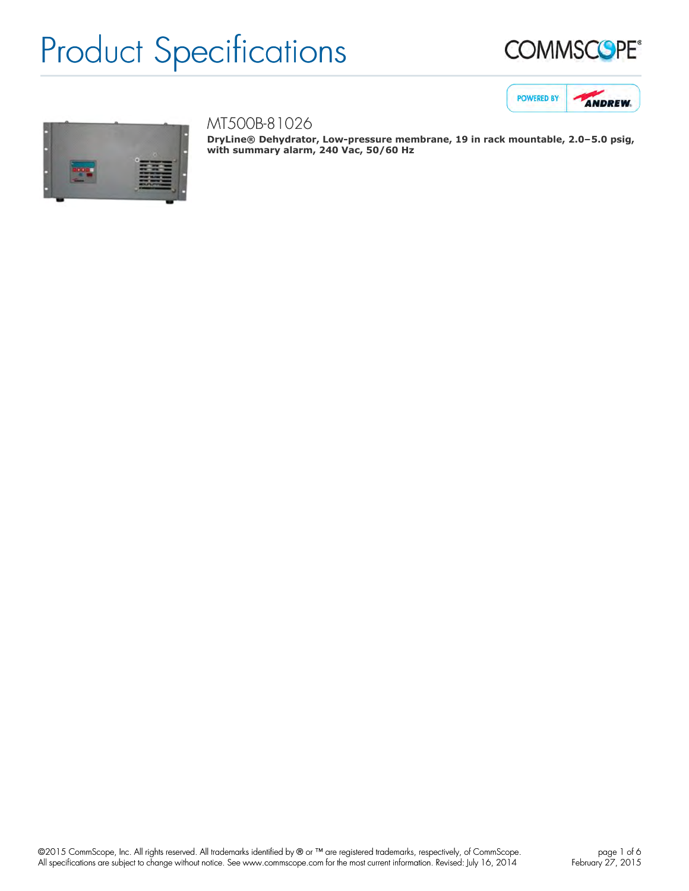





## MT500B-81026

**DryLine® Dehydrator, Low-pressure membrane, 19 in rack mountable, 2.0–5.0 psig, with summary alarm, 240 Vac, 50/60 Hz**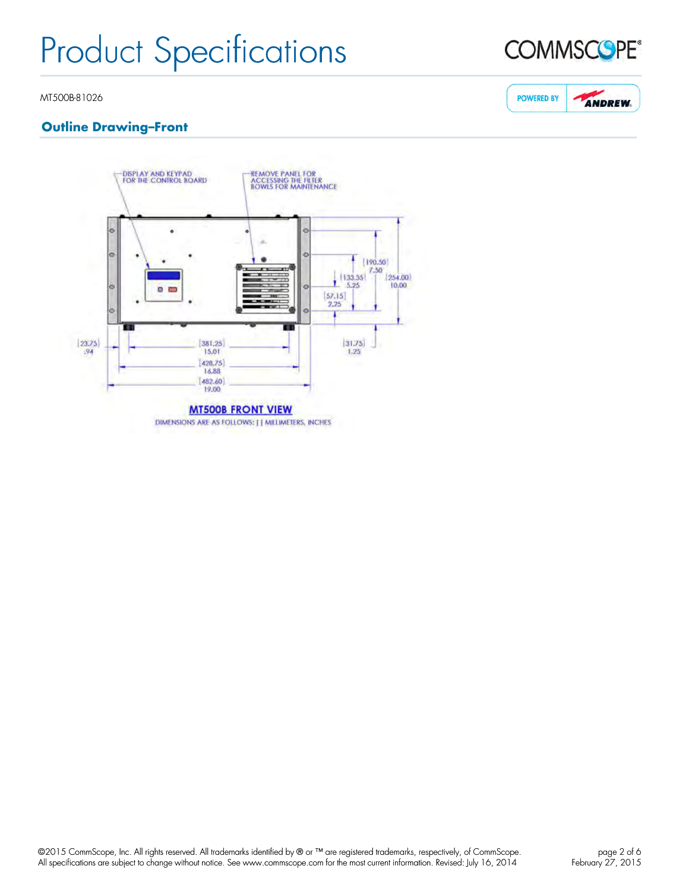

**ANDREW.** 

**POWERED BY** 

#### MT500B-81026

## **Outline Drawing–Front**

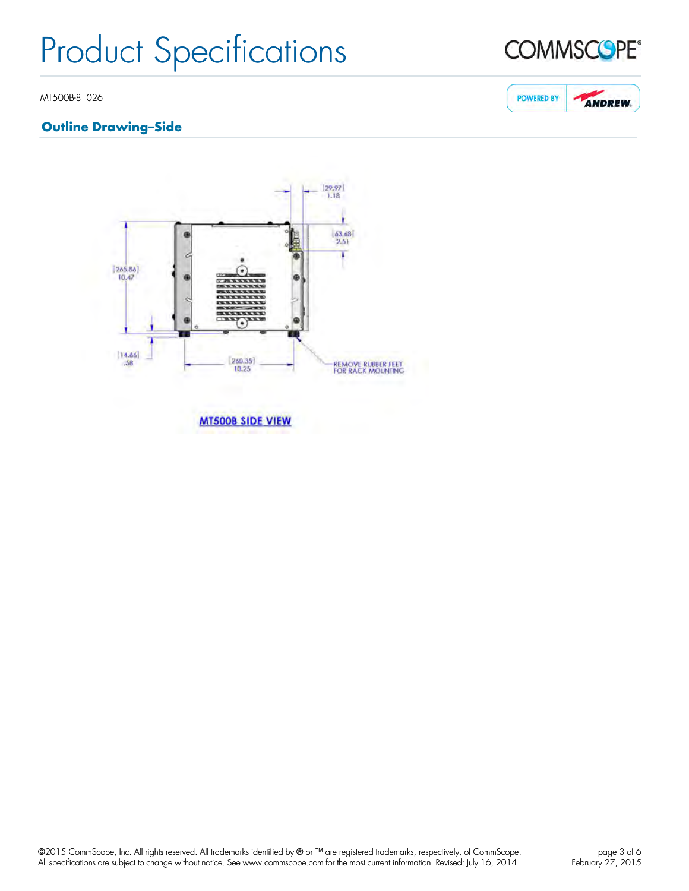

## **Outline Drawing–Side**







©2015 CommScope, Inc. All rights reserved. All trademarks identified by ® or ™ are registered trademarks, respectively, of CommScope. All specifications are subject to change without notice. See www.commscope.com for the most current information. Revised: July 16, 2014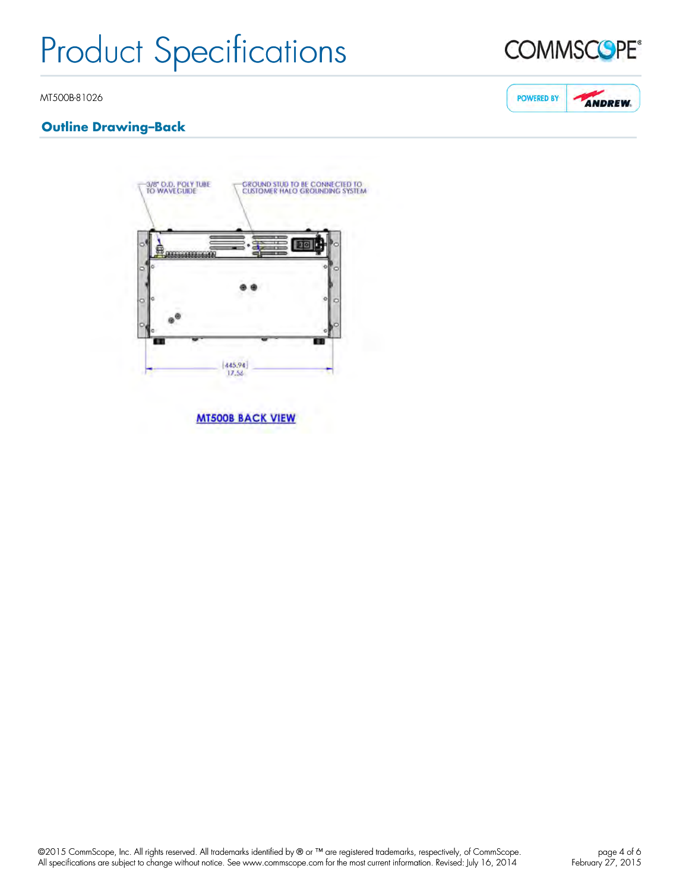

**ANDREW.** 

**POWERED BY** 

MT500B-81026

## **Outline Drawing–Back**



**MT500B BACK VIEW**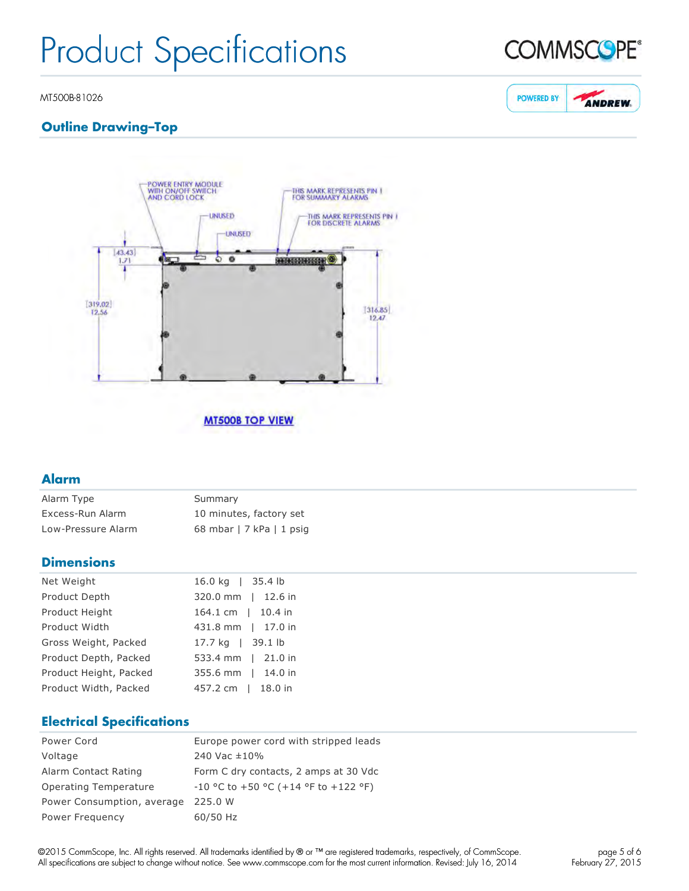

**ANDREW.** 

**POWERED BY** 

#### MT500B-81026

## **Outline Drawing–Top**



#### **MT500B TOP VIEW**

### **Alarm**

| Alarm Type         | Summary                  |
|--------------------|--------------------------|
| Excess-Run Alarm   | 10 minutes, factory set  |
| Low-Pressure Alarm | 68 mbar   7 kPa   1 psig |

#### **Dimensions**

| Net Weight             | 16.0 kg   35.4 lb  |
|------------------------|--------------------|
| Product Depth          | 320.0 mm   12.6 in |
| Product Height         | 164.1 cm   10.4 in |
| Product Width          | 431.8 mm   17.0 in |
| Gross Weight, Packed   | 17.7 kg   39.1 lb  |
| Product Depth, Packed  | 533.4 mm   21.0 in |
| Product Height, Packed | 355.6 mm   14.0 in |
| Product Width, Packed  | 457.2 cm   18.0 in |

## **Electrical Specifications**

| Power Cord                 | Europe power cord with stripped leads      |
|----------------------------|--------------------------------------------|
| Voltage                    | 240 Vac ±10%                               |
| Alarm Contact Rating       | Form C dry contacts, 2 amps at 30 Vdc      |
| Operating Temperature      | $-10$ °C to $+50$ °C (+14 °F to $+122$ °F) |
| Power Consumption, average | 225.0 W                                    |
| Power Frequency            | 60/50 Hz                                   |